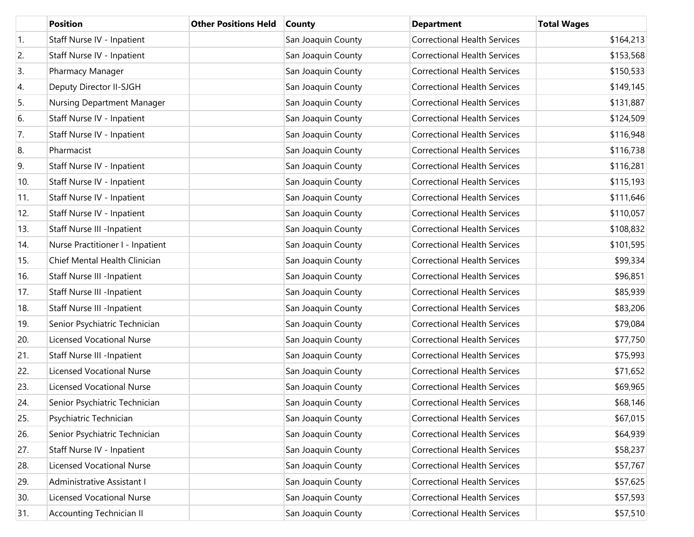|                  | <b>Position</b>                  | <b>Other Positions Held</b> | <b>County</b>      | <b>Department</b>                   | <b>Total Wages</b> |
|------------------|----------------------------------|-----------------------------|--------------------|-------------------------------------|--------------------|
| $\overline{1}$ . | Staff Nurse IV - Inpatient       |                             | San Joaquin County | <b>Correctional Health Services</b> | \$164,213          |
| 2.               | Staff Nurse IV - Inpatient       |                             | San Joaquin County | <b>Correctional Health Services</b> | \$153,568          |
| 3.               | Pharmacy Manager                 |                             | San Joaquin County | <b>Correctional Health Services</b> | \$150,533          |
| 4.               | Deputy Director II-SJGH          |                             | San Joaquin County | <b>Correctional Health Services</b> | \$149,145          |
| 5.               | Nursing Department Manager       |                             | San Joaquin County | <b>Correctional Health Services</b> | \$131,887          |
| 6.               | Staff Nurse IV - Inpatient       |                             | San Joaquin County | <b>Correctional Health Services</b> | \$124,509          |
| 7.               | Staff Nurse IV - Inpatient       |                             | San Joaquin County | <b>Correctional Health Services</b> | \$116,948          |
| 8.               | Pharmacist                       |                             | San Joaquin County | <b>Correctional Health Services</b> | \$116,738          |
| 9.               | Staff Nurse IV - Inpatient       |                             | San Joaquin County | <b>Correctional Health Services</b> | \$116,281          |
| 10.              | Staff Nurse IV - Inpatient       |                             | San Joaquin County | <b>Correctional Health Services</b> | \$115,193          |
| 11.              | Staff Nurse IV - Inpatient       |                             | San Joaquin County | <b>Correctional Health Services</b> | \$111,646          |
| 12.              | Staff Nurse IV - Inpatient       |                             | San Joaquin County | <b>Correctional Health Services</b> | \$110,057          |
| 13.              | Staff Nurse III -Inpatient       |                             | San Joaquin County | <b>Correctional Health Services</b> | \$108,832          |
| 14.              | Nurse Practitioner I - Inpatient |                             | San Joaquin County | <b>Correctional Health Services</b> | \$101,595          |
| 15.              | Chief Mental Health Clinician    |                             | San Joaquin County | <b>Correctional Health Services</b> | \$99,334           |
| 16.              | Staff Nurse III -Inpatient       |                             | San Joaquin County | <b>Correctional Health Services</b> | \$96,851           |
| 17.              | Staff Nurse III -Inpatient       |                             | San Joaquin County | <b>Correctional Health Services</b> | \$85,939           |
| 18.              | Staff Nurse III -Inpatient       |                             | San Joaquin County | <b>Correctional Health Services</b> | \$83,206           |
| 19.              | Senior Psychiatric Technician    |                             | San Joaquin County | <b>Correctional Health Services</b> | \$79,084           |
| 20.              | <b>Licensed Vocational Nurse</b> |                             | San Joaquin County | <b>Correctional Health Services</b> | \$77,750           |
| 21.              | Staff Nurse III -Inpatient       |                             | San Joaquin County | <b>Correctional Health Services</b> | \$75,993           |
| 22.              | <b>Licensed Vocational Nurse</b> |                             | San Joaquin County | <b>Correctional Health Services</b> | \$71,652           |
| 23.              | <b>Licensed Vocational Nurse</b> |                             | San Joaquin County | <b>Correctional Health Services</b> | \$69,965           |
| 24.              | Senior Psychiatric Technician    |                             | San Joaquin County | <b>Correctional Health Services</b> | \$68,146           |
| 25.              | Psychiatric Technician           |                             | San Joaquin County | <b>Correctional Health Services</b> | \$67,015           |
| 26.              | Senior Psychiatric Technician    |                             | San Joaquin County | <b>Correctional Health Services</b> | \$64,939           |
| 27.              | Staff Nurse IV - Inpatient       |                             | San Joaquin County | <b>Correctional Health Services</b> | \$58,237           |
| 28.              | <b>Licensed Vocational Nurse</b> |                             | San Joaquin County | <b>Correctional Health Services</b> | \$57,767           |
| 29.              | Administrative Assistant I       |                             | San Joaquin County | <b>Correctional Health Services</b> | \$57,625           |
| 30.              | <b>Licensed Vocational Nurse</b> |                             | San Joaquin County | <b>Correctional Health Services</b> | \$57,593           |
| 31.              | <b>Accounting Technician II</b>  |                             | San Joaquin County | <b>Correctional Health Services</b> | \$57,510           |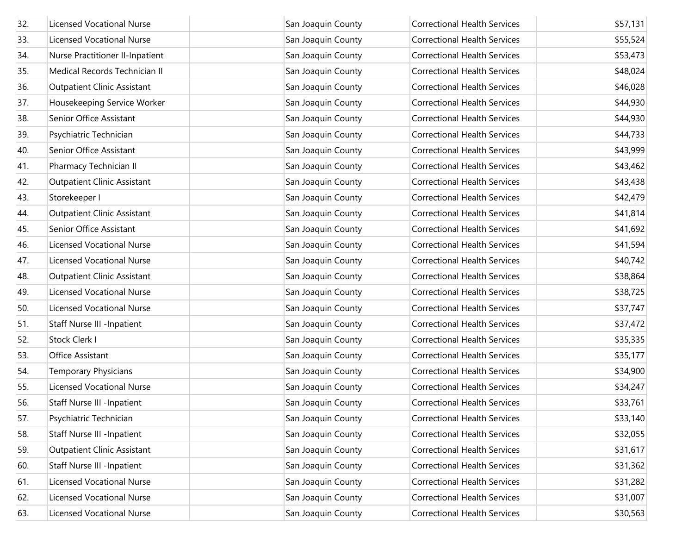| 32. | Licensed Vocational Nurse          | San Joaquin County | <b>Correctional Health Services</b> | \$57,131 |
|-----|------------------------------------|--------------------|-------------------------------------|----------|
| 33. | <b>Licensed Vocational Nurse</b>   | San Joaquin County | <b>Correctional Health Services</b> | \$55,524 |
| 34. | Nurse Practitioner II-Inpatient    | San Joaquin County | <b>Correctional Health Services</b> | \$53,473 |
| 35. | Medical Records Technician II      | San Joaquin County | <b>Correctional Health Services</b> | \$48,024 |
| 36. | <b>Outpatient Clinic Assistant</b> | San Joaquin County | <b>Correctional Health Services</b> | \$46,028 |
| 37. | Housekeeping Service Worker        | San Joaquin County | <b>Correctional Health Services</b> | \$44,930 |
| 38. | Senior Office Assistant            | San Joaquin County | <b>Correctional Health Services</b> | \$44,930 |
| 39. | Psychiatric Technician             | San Joaquin County | <b>Correctional Health Services</b> | \$44,733 |
| 40. | Senior Office Assistant            | San Joaquin County | <b>Correctional Health Services</b> | \$43,999 |
| 41. | Pharmacy Technician II             | San Joaquin County | <b>Correctional Health Services</b> | \$43,462 |
| 42. | <b>Outpatient Clinic Assistant</b> | San Joaquin County | <b>Correctional Health Services</b> | \$43,438 |
| 43. | Storekeeper I                      | San Joaquin County | <b>Correctional Health Services</b> | \$42,479 |
| 44. | <b>Outpatient Clinic Assistant</b> | San Joaquin County | <b>Correctional Health Services</b> | \$41,814 |
| 45. | Senior Office Assistant            | San Joaquin County | <b>Correctional Health Services</b> | \$41,692 |
| 46. | <b>Licensed Vocational Nurse</b>   | San Joaquin County | <b>Correctional Health Services</b> | \$41,594 |
| 47. | <b>Licensed Vocational Nurse</b>   | San Joaquin County | <b>Correctional Health Services</b> | \$40,742 |
| 48. | <b>Outpatient Clinic Assistant</b> | San Joaquin County | <b>Correctional Health Services</b> | \$38,864 |
| 49. | Licensed Vocational Nurse          | San Joaquin County | <b>Correctional Health Services</b> | \$38,725 |
| 50. | Licensed Vocational Nurse          | San Joaquin County | <b>Correctional Health Services</b> | \$37,747 |
| 51. | <b>Staff Nurse III -Inpatient</b>  | San Joaquin County | <b>Correctional Health Services</b> | \$37,472 |
| 52. | Stock Clerk I                      | San Joaquin County | <b>Correctional Health Services</b> | \$35,335 |
| 53. | Office Assistant                   | San Joaquin County | <b>Correctional Health Services</b> | \$35,177 |
| 54. | <b>Temporary Physicians</b>        | San Joaquin County | <b>Correctional Health Services</b> | \$34,900 |
| 55. | <b>Licensed Vocational Nurse</b>   | San Joaquin County | <b>Correctional Health Services</b> | \$34,247 |
| 56. | Staff Nurse III -Inpatient         | San Joaquin County | <b>Correctional Health Services</b> | \$33,761 |
| 57. | Psychiatric Technician             | San Joaquin County | <b>Correctional Health Services</b> | \$33,140 |
| 58. | <b>Staff Nurse III -Inpatient</b>  | San Joaquin County | <b>Correctional Health Services</b> | \$32,055 |
| 59. | <b>Outpatient Clinic Assistant</b> | San Joaquin County | <b>Correctional Health Services</b> | \$31,617 |
| 60. | Staff Nurse III -Inpatient         | San Joaquin County | <b>Correctional Health Services</b> | \$31,362 |
| 61. | <b>Licensed Vocational Nurse</b>   | San Joaquin County | <b>Correctional Health Services</b> | \$31,282 |
| 62. | <b>Licensed Vocational Nurse</b>   | San Joaquin County | <b>Correctional Health Services</b> | \$31,007 |
| 63. | <b>Licensed Vocational Nurse</b>   | San Joaquin County | <b>Correctional Health Services</b> | \$30,563 |